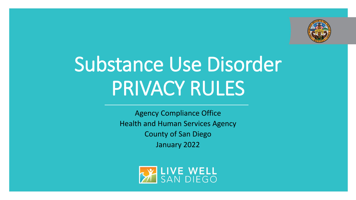

# Substance Use Disorder PRIVACY RULES

Agency Compliance Office Health and Human Services Agency County of San Diego January 2022

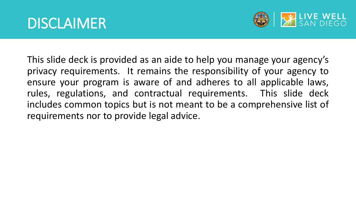

This slide deck is provided as an aide to help you manage your agency's privacy requirements. It remains the responsibility of your agency to ensure your program is aware of and adheres to all applicable laws, rules, regulations, and contractual requirements. This slide deck includes common topics but is not meant to be a comprehensive list of requirements nor to provide legal advice.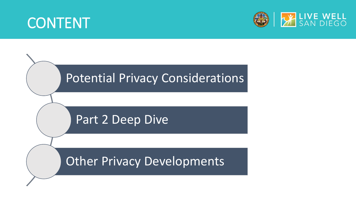## CONTENT



# Potential Privacy Considerations Part 2 Deep Dive

Other Privacy Developments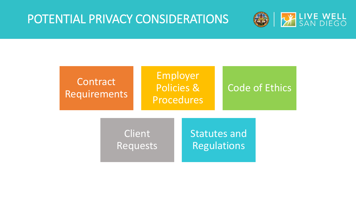## POTENTIAL PRIVACY CONSIDERATIONS



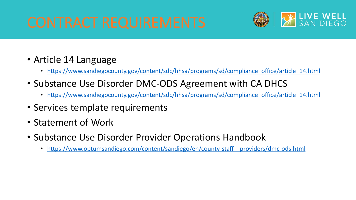

- Article 14 Language
	- https://www.sandiegocounty.gov/content/sdc/hhsa/programs/sd/compliance office/article 14.html
- Substance Use Disorder DMC-ODS Agreement with CA DHCS
	- https://www.sandiegocounty.gov/content/sdc/hhsa/programs/sd/compliance office/article 14.html
- Services template requirements
- Statement of Work
- Substance Use Disorder Provider Operations Handbook
	- <https://www.optumsandiego.com/content/sandiego/en/county-staff---providers/dmc-ods.html>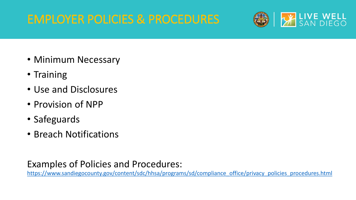## EMPLOYER POLICIES & PROCEDURES



- Minimum Necessary
- Training
- Use and Disclosures
- Provision of NPP
- Safeguards
- Breach Notifications

#### Examples of Policies and Procedures:

[https://www.sandiegocounty.gov/content/sdc/hhsa/programs/sd/compliance\\_office/privacy\\_policies\\_procedures.html](https://www.sandiegocounty.gov/content/sdc/hhsa/programs/sd/compliance_office/privacy_policies_procedures.html)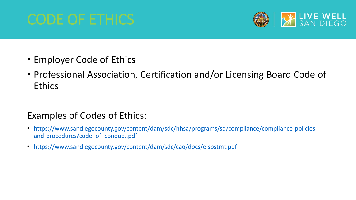

- Employer Code of Ethics
- Professional Association, Certification and/or Licensing Board Code of Ethics

#### Examples of Codes of Ethics:

- [https://www.sandiegocounty.gov/content/dam/sdc/hhsa/programs/sd/compliance/compliance-policies](https://www.sandiegocounty.gov/content/dam/sdc/hhsa/programs/sd/compliance/compliance-policies-and-procedures/code_of_conduct.pdf)and-procedures/code\_of\_conduct.pdf
- <https://www.sandiegocounty.gov/content/dam/sdc/cao/docs/elspstmt.pdf>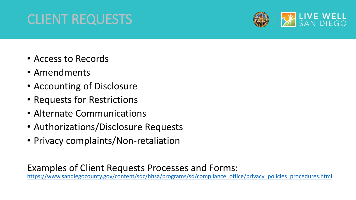## CLIENT REQUESTS



- Access to Records
- Amendments
- Accounting of Disclosure
- Requests for Restrictions
- Alternate Communications
- Authorizations/Disclosure Requests
- Privacy complaints/Non-retaliation

Examples of Client Requests Processes and Forms: [https://www.sandiegocounty.gov/content/sdc/hhsa/programs/sd/compliance\\_office/privacy\\_policies\\_procedures.html](https://www.sandiegocounty.gov/content/sdc/hhsa/programs/sd/compliance_office/privacy_policies_procedures.html)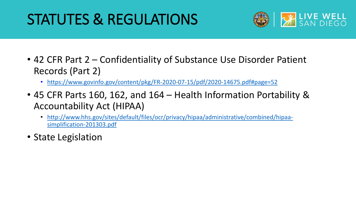## STATUTES & REGULATIONS



- 42 CFR Part 2 Confidentiality of Substance Use Disorder Patient Records (Part 2)
	- <https://www.govinfo.gov/content/pkg/FR-2020-07-15/pdf/2020-14675.pdf#page=52>
- 45 CFR Parts 160, 162, and 164 Health Information Portability & Accountability Act (HIPAA)
	- [http://www.hhs.gov/sites/default/files/ocr/privacy/hipaa/administrative/combined/hipaa](http://www.hhs.gov/sites/default/files/ocr/privacy/hipaa/administrative/combined/hipaa-simplification-201303.pdf)simplification-201303.pdf
- State Legislation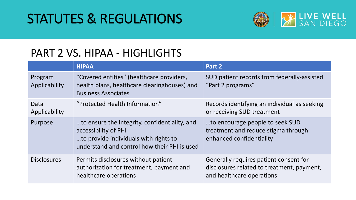## STATUTES & REGULATIONS



### PART 2 VS. HIPAA - HIGHLIGHTS

|                          | <b>HIPAA</b>                                                                                                                                                   | Part 2                                                                                                            |
|--------------------------|----------------------------------------------------------------------------------------------------------------------------------------------------------------|-------------------------------------------------------------------------------------------------------------------|
| Program<br>Applicability | "Covered entities" (healthcare providers,<br>health plans, healthcare clearinghouses) and<br><b>Business Associates</b>                                        | SUD patient records from federally-assisted<br>"Part 2 programs"                                                  |
| Data<br>Applicability    | "Protected Health Information"                                                                                                                                 | Records identifying an individual as seeking<br>or receiving SUD treatment                                        |
| Purpose                  | to ensure the integrity, confidentiality, and<br>accessibility of PHI<br>to provide individuals with rights to<br>understand and control how their PHI is used | to encourage people to seek SUD<br>treatment and reduce stigma through<br>enhanced confidentiality                |
| <b>Disclosures</b>       | Permits disclosures without patient<br>authorization for treatment, payment and<br>healthcare operations                                                       | Generally requires patient consent for<br>disclosures related to treatment, payment,<br>and healthcare operations |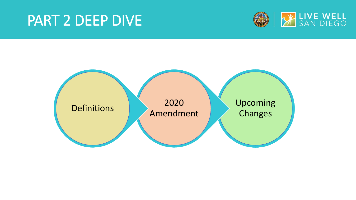## PART 2 DEEP DIVE



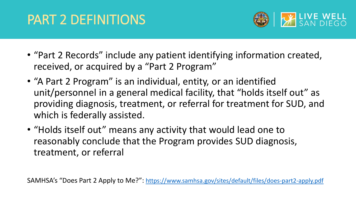## PART 2 DEFINITIONS



- "Part 2 Records" include any patient identifying information created, received, or acquired by a "Part 2 Program"
- "A Part 2 Program" is an individual, entity, or an identified unit/personnel in a general medical facility, that "holds itself out" as providing diagnosis, treatment, or referral for treatment for SUD, and which is federally assisted.
- "Holds itself out" means any activity that would lead one to reasonably conclude that the Program provides SUD diagnosis, treatment, or referral

SAMHSA's "Does Part 2 Apply to Me?":<https://www.samhsa.gov/sites/default/files/does-part2-apply.pdf>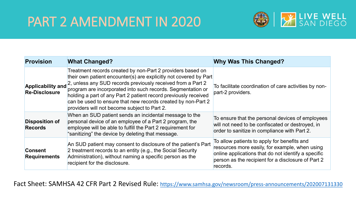## PART 2 AMENDMENT IN 2020



| <b>Provision</b>                                 | <b>What Changed?</b>                                                                                                                                                                                                                                                                                                                                                                                                                             | <b>Why Was This Changed?</b>                                                                                                                                                                                           |
|--------------------------------------------------|--------------------------------------------------------------------------------------------------------------------------------------------------------------------------------------------------------------------------------------------------------------------------------------------------------------------------------------------------------------------------------------------------------------------------------------------------|------------------------------------------------------------------------------------------------------------------------------------------------------------------------------------------------------------------------|
| <b>Applicability and</b><br><b>Re-Disclosure</b> | Treatment records created by non-Part 2 providers based on<br>their own patient encounter(s) are explicitly not covered by Part<br>2, unless any SUD records previously received from a Part 2<br>program are incorporated into such records. Segmentation or<br>holding a part of any Part 2 patient record previously received<br>can be used to ensure that new records created by non-Part 2<br>providers will not become subject to Part 2. | To facilitate coordination of care activities by non-<br>part-2 providers.                                                                                                                                             |
| <b>Disposition of</b><br><b>Records</b>          | When an SUD patient sends an incidental message to the<br>personal device of an employee of a Part 2 program, the<br>employee will be able to fulfill the Part 2 requirement for<br>"sanitizing" the device by deleting that message.                                                                                                                                                                                                            | To ensure that the personal devices of employees<br>will not need to be confiscated or destroyed, in<br>order to sanitize in compliance with Part 2.                                                                   |
| <b>Consent</b><br><b>Requirements</b>            | An SUD patient may consent to disclosure of the patient's Part<br>2 treatment records to an entity (e.g., the Social Security<br>Administration), without naming a specific person as the<br>recipient for the disclosure.                                                                                                                                                                                                                       | To allow patients to apply for benefits and<br>resources more easily, for example, when using<br>online applications that do not identify a specific<br>person as the recipient for a disclosure of Part 2<br>records. |

Fact Sheet: SAMHSA 42 CFR Part 2 Revised Rule: <https://www.samhsa.gov/newsroom/press-announcements/202007131330>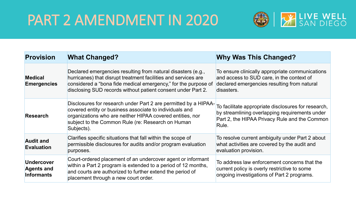## PART 2 AMENDMENT IN 2020



| <b>Provision</b>                                            | <b>What Changed?</b>                                                                                                                                                                                                                                             | <b>Why Was This Changed?</b>                                                                                                                                    |
|-------------------------------------------------------------|------------------------------------------------------------------------------------------------------------------------------------------------------------------------------------------------------------------------------------------------------------------|-----------------------------------------------------------------------------------------------------------------------------------------------------------------|
| <b>Medical</b><br><b>Emergencies</b>                        | Declared emergencies resulting from natural disasters (e.g.,<br>hurricanes) that disrupt treatment facilities and services are<br>considered a "bona fide medical emergency," for the purpose of<br>disclosing SUD records without patient consent under Part 2. | To ensure clinically appropriate communications<br>and access to SUD care, in the context of<br>declared emergencies resulting from natural<br>disasters.       |
| <b>Research</b>                                             | Disclosures for research under Part 2 are permitted by a HIPAA-<br>covered entity or business associate to individuals and<br>organizations who are neither HIPAA covered entities, nor<br>subject to the Common Rule (re: Research on Human<br>Subjects).       | To facilitate appropriate disclosures for research,<br>by streamlining overlapping requirements under<br>Part 2, the HIPAA Privacy Rule and the Common<br>Rule. |
| <b>Audit and</b><br><b>Evaluation</b>                       | Clarifies specific situations that fall within the scope of<br>permissible disclosures for audits and/or program evaluation<br>purposes.                                                                                                                         | To resolve current ambiguity under Part 2 about<br>what activities are covered by the audit and<br>evaluation provision.                                        |
| <b>Undercover</b><br><b>Agents and</b><br><b>Informants</b> | Court-ordered placement of an undercover agent or informant<br>within a Part 2 program is extended to a period of 12 months,<br>and courts are authorized to further extend the period of<br>placement through a new court order.                                | To address law enforcement concerns that the<br>current policy is overly restrictive to some<br>ongoing investigations of Part 2 programs.                      |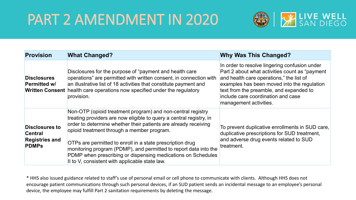## PART 2 AMENDMENT IN 2020



| <b>Provision</b>                                                                 | <b>What Changed?</b>                                                                                                                                                                                                                                                                                                                                                                                                                                                                                   | <b>Why Was This Changed?</b>                                                                                                                                                                                                                                                                           |
|----------------------------------------------------------------------------------|--------------------------------------------------------------------------------------------------------------------------------------------------------------------------------------------------------------------------------------------------------------------------------------------------------------------------------------------------------------------------------------------------------------------------------------------------------------------------------------------------------|--------------------------------------------------------------------------------------------------------------------------------------------------------------------------------------------------------------------------------------------------------------------------------------------------------|
| <b>Disclosures</b><br><b>Permitted w/</b>                                        | Disclosures for the purpose of "payment and health care"<br>operations" are permitted with written consent, in connection with<br>an illustrative list of 18 activities that constitute payment and<br><b>Written Consent</b> health care operations now specified under the regulatory<br>provision.                                                                                                                                                                                                  | In order to resolve lingering confusion under<br>Part 2 about what activities count as "payment"<br>and health care operations," the list of<br>examples has been moved into the regulation<br>text from the preamble, and expanded to<br>include care coordination and case<br>management activities. |
| <b>Disclosures to</b><br><b>Central</b><br><b>Registries and</b><br><b>PDMPs</b> | Non-OTP (opioid treatment program) and non-central registry<br>treating providers are now eligible to query a central registry, in<br>order to determine whether their patients are already receiving<br>opioid treatment through a member program.<br>OTPs are permitted to enroll in a state prescription drug<br>monitoring program (PDMP), and permitted to report data into the<br>PDMP when prescribing or dispensing medications on Schedules<br>II to V, consistent with applicable state law. | To prevent duplicative enrollments in SUD care,<br>duplicative prescriptions for SUD treatment,<br>and adverse drug events related to SUD<br>treatment.                                                                                                                                                |

\* HHS also issued guidance related to staff's use of personal email or cell phone to communicate with clients. Although HHS does not encourage patient communications through such personal devices, if an SUD patient sends an incidental message to an employee's personal device, the employee may fulfill Part 2 sanitation requirements by deleting the message.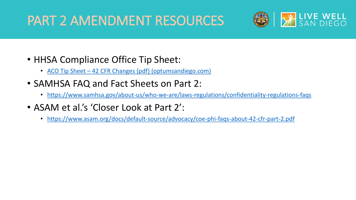## PART 2 AMENDMENT RESOURCES



- HHSA Compliance Office Tip Sheet:
	- ACO Tip Sheet [42 CFR Changes \(pdf\) \(optumsandiego.com\)](https://www.optumsandiego.com/content/dam/san-diego/documents/dmc-ods/communications/ACO_Tip_Sheet_-_42_CFR_Changes_Effective_2020.08.14_-_version_date_2020.08.pdf)
- SAMHSA FAQ and Fact Sheets on Part 2:
	- <https://www.samhsa.gov/about-us/who-we-are/laws-regulations/confidentiality-regulations-faqs>
- ASAM et al.'s 'Closer Look at Part 2':
	- <https://www.asam.org/docs/default-source/advocacy/coe-phi-faqs-about-42-cfr-part-2.pdf>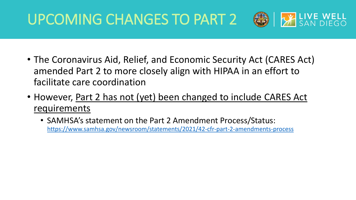## UPCOMING CHANGES TO PART 2



- The Coronavirus Aid, Relief, and Economic Security Act (CARES Act) amended Part 2 to more closely align with HIPAA in an effort to facilitate care coordination
- However, Part 2 has not (yet) been changed to include CARES Act requirements
	- SAMHSA's statement on the Part 2 Amendment Process/Status: <https://www.samhsa.gov/newsroom/statements/2021/42-cfr-part-2-amendments-process>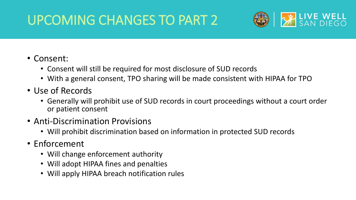## UPCOMING CHANGES TO PART 2



#### • Consent:

- Consent will still be required for most disclosure of SUD records
- With a general consent, TPO sharing will be made consistent with HIPAA for TPO
- Use of Records
	- Generally will prohibit use of SUD records in court proceedings without a court order or patient consent
- Anti-Discrimination Provisions
	- Will prohibit discrimination based on information in protected SUD records
- Enforcement
	- Will change enforcement authority
	- Will adopt HIPAA fines and penalties
	- Will apply HIPAA breach notification rules